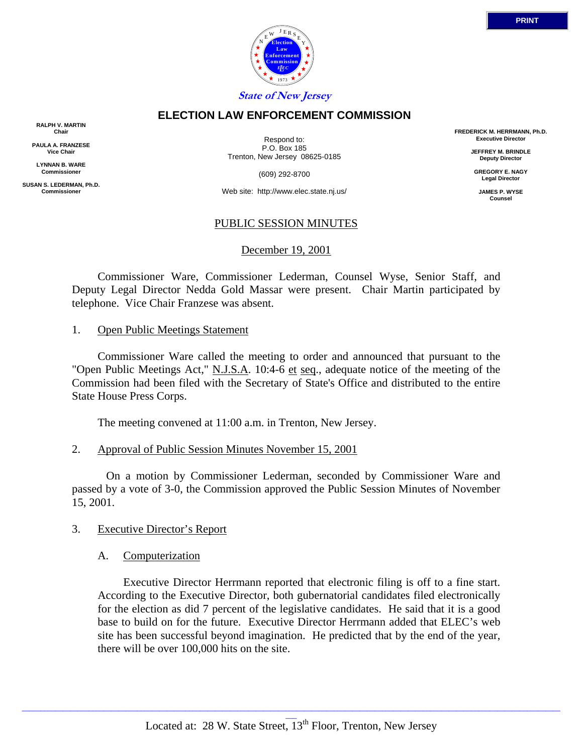

## **ELECTION LAW ENFORCEMENT COMMISSION**

**RALPH V. MARTIN Chair**

**PAULA A. FRANZESE Vice Chair**

**LYNNAN B. WARE Commissioner**

**SUSAN S. LEDERMAN, Ph.D. Commissioner**

Respond to: P.O. Box 185 Trenton, New Jersey 08625-0185

(609) 292-8700

Web site: http://www.elec.state.nj.us/

## PUBLIC SESSION MINUTES

## December 19, 2001

 Commissioner Ware, Commissioner Lederman, Counsel Wyse, Senior Staff, and Deputy Legal Director Nedda Gold Massar were present. Chair Martin participated by telephone. Vice Chair Franzese was absent.

#### 1. Open Public Meetings Statement

 Commissioner Ware called the meeting to order and announced that pursuant to the "Open Public Meetings Act," N.J.S.A. 10:4-6 et seq., adequate notice of the meeting of the Commission had been filed with the Secretary of State's Office and distributed to the entire State House Press Corps.

The meeting convened at 11:00 a.m. in Trenton, New Jersey.

#### 2. Approval of Public Session Minutes November 15, 2001

 On a motion by Commissioner Lederman, seconded by Commissioner Ware and passed by a vote of 3-0, the Commission approved the Public Session Minutes of November 15, 2001.

#### 3. Executive Director's Report

#### A. Computerization

 Executive Director Herrmann reported that electronic filing is off to a fine start. According to the Executive Director, both gubernatorial candidates filed electronically for the election as did 7 percent of the legislative candidates. He said that it is a good base to build on for the future. Executive Director Herrmann added that ELEC's web site has been successful beyond imagination. He predicted that by the end of the year, there will be over 100,000 hits on the site.

**FREDERICK M. HERRMANN, Ph.D. Executive Director JEFFREY M. BRINDLE Deputy Director GREGORY E. NAGY Legal Director JAMES P. WYSE Counsel**

\_\_\_\_\_\_\_\_\_\_\_\_\_\_\_\_\_\_\_\_\_\_\_\_\_\_\_\_\_\_\_\_\_\_\_\_\_\_\_\_\_\_\_\_\_\_\_\_\_\_\_\_\_\_\_\_\_\_\_\_\_\_\_\_\_\_\_\_\_\_\_\_\_\_\_\_\_\_\_\_\_\_\_\_\_\_\_\_\_\_\_\_\_\_\_\_\_\_\_\_\_\_\_\_\_\_\_\_\_\_\_\_\_\_\_\_\_\_\_\_\_\_\_\_\_\_\_\_\_\_\_\_\_\_\_\_\_\_\_\_\_\_\_\_\_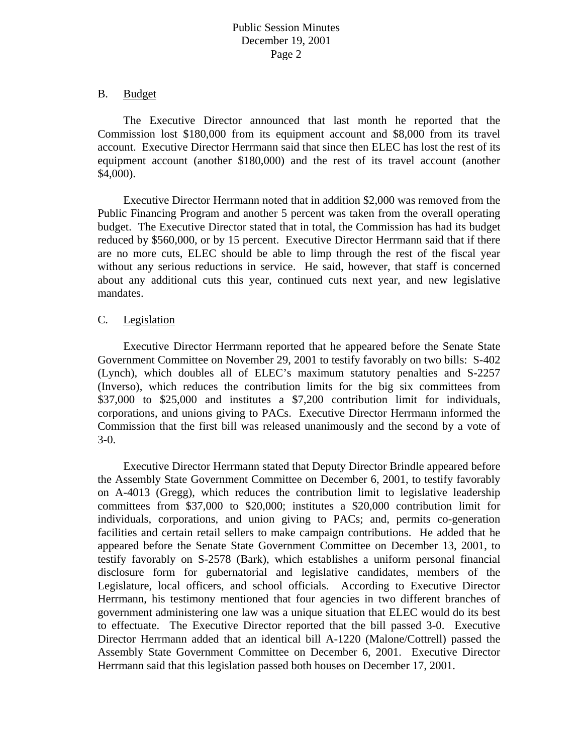# Public Session Minutes December 19, 2001 Page 2

#### B. Budget

 The Executive Director announced that last month he reported that the Commission lost \$180,000 from its equipment account and \$8,000 from its travel account. Executive Director Herrmann said that since then ELEC has lost the rest of its equipment account (another \$180,000) and the rest of its travel account (another \$4,000).

 Executive Director Herrmann noted that in addition \$2,000 was removed from the Public Financing Program and another 5 percent was taken from the overall operating budget. The Executive Director stated that in total, the Commission has had its budget reduced by \$560,000, or by 15 percent. Executive Director Herrmann said that if there are no more cuts, ELEC should be able to limp through the rest of the fiscal year without any serious reductions in service. He said, however, that staff is concerned about any additional cuts this year, continued cuts next year, and new legislative mandates.

## C. Legislation

 Executive Director Herrmann reported that he appeared before the Senate State Government Committee on November 29, 2001 to testify favorably on two bills: S-402 (Lynch), which doubles all of ELEC's maximum statutory penalties and S-2257 (Inverso), which reduces the contribution limits for the big six committees from \$37,000 to \$25,000 and institutes a \$7,200 contribution limit for individuals, corporations, and unions giving to PACs. Executive Director Herrmann informed the Commission that the first bill was released unanimously and the second by a vote of 3-0.

 Executive Director Herrmann stated that Deputy Director Brindle appeared before the Assembly State Government Committee on December 6, 2001, to testify favorably on A-4013 (Gregg), which reduces the contribution limit to legislative leadership committees from \$37,000 to \$20,000; institutes a \$20,000 contribution limit for individuals, corporations, and union giving to PACs; and, permits co-generation facilities and certain retail sellers to make campaign contributions. He added that he appeared before the Senate State Government Committee on December 13, 2001, to testify favorably on S-2578 (Bark), which establishes a uniform personal financial disclosure form for gubernatorial and legislative candidates, members of the Legislature, local officers, and school officials. According to Executive Director Herrmann, his testimony mentioned that four agencies in two different branches of government administering one law was a unique situation that ELEC would do its best to effectuate. The Executive Director reported that the bill passed 3-0. Executive Director Herrmann added that an identical bill A-1220 (Malone/Cottrell) passed the Assembly State Government Committee on December 6, 2001. Executive Director Herrmann said that this legislation passed both houses on December 17, 2001.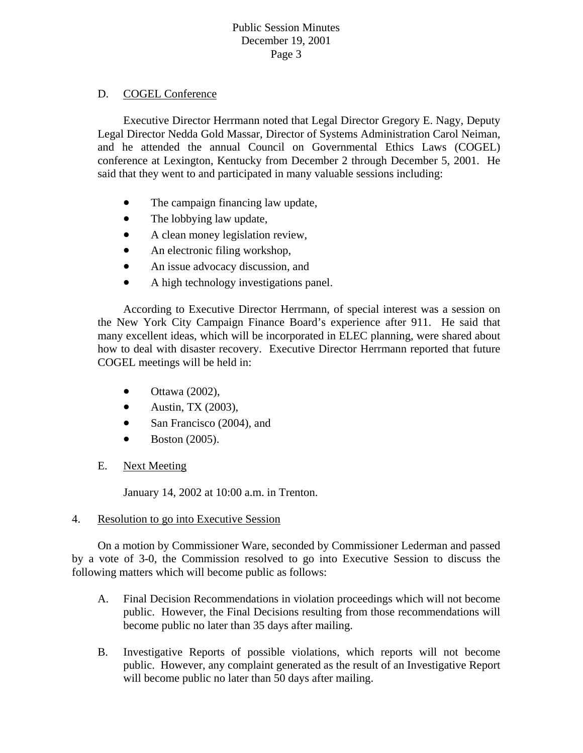# Public Session Minutes December 19, 2001 Page 3

# D. COGEL Conference

 Executive Director Herrmann noted that Legal Director Gregory E. Nagy, Deputy Legal Director Nedda Gold Massar, Director of Systems Administration Carol Neiman, and he attended the annual Council on Governmental Ethics Laws (COGEL) conference at Lexington, Kentucky from December 2 through December 5, 2001. He said that they went to and participated in many valuable sessions including:

- The campaign financing law update,
- The lobbying law update,
- A clean money legislation review,
- An electronic filing workshop,
- An issue advocacy discussion, and
- A high technology investigations panel.

how to deal with disaster recovery. Executive Director Herrmann reported that future COGEL meetings will be held in: According to Executive Director Herrmann, of special interest was a session on the New York City Campaign Finance Board's experience after 911. He said that many excellent ideas, which will be incorporated in ELEC planning, were shared about

- $\bullet$  Ottawa (2002),
- $\bullet$  Austin, TX (2003),
- San Francisco (2004), and  $\bullet$
- $\bullet$  Boston (2005).
- E. Next Meeting

January 14, 2002 at 10:00 a.m. in Trenton.

# 4. Resolution to go into Executive Session

 On a motion by Commissioner Ware, seconded by Commissioner Lederman and passed by a vote of 3-0, the Commission resolved to go into Executive Session to discuss the following matters which will become public as follows:

- A. Final Decision Recommendations in violation proceedings which will not become public. However, the Final Decisions resulting from those recommendations will become public no later than 35 days after mailing.
- B. Investigative Reports of possible violations, which reports will not become public. However, any complaint generated as the result of an Investigative Report will become public no later than 50 days after mailing.